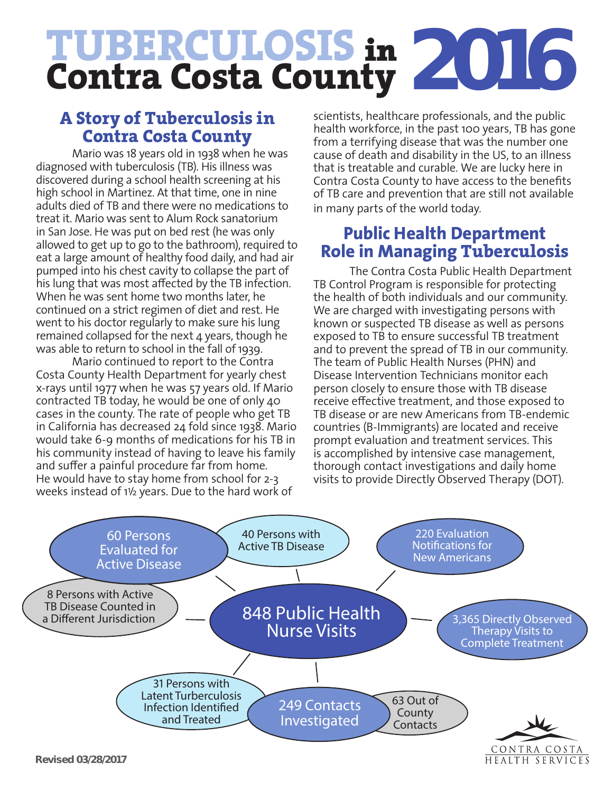# **TUBERCULOSIS** in **Contra Costa County 2016**

## **A Story of Tuberculosis in Contra Costa County**

Mario was 18 years old in 1938 when he was diagnosed with tuberculosis (TB). His illness was discovered during a school health screening at his high school in Martinez. At that time, one in nine adults died of TB and there were no medications to treat it. Mario was sent to Alum Rock sanatorium in San Jose. He was put on bed rest (he was only allowed to get up to go to the bathroom), required to eat a large amount of healthy food daily, and had air pumped into his chest cavity to collapse the part of his lung that was most affected by the TB infection. When he was sent home two months later, he continued on a strict regimen of diet and rest. He went to his doctor regularly to make sure his lung remained collapsed for the next  $4$  years, though he was able to return to school in the fall of 1939.

Mario continued to report to the Contra Costa County Health Department for yearly chest x-rays until 1977 when he was 57 years old. If Mario contracted TB today, he would be one of only 40 cases in the county. The rate of people who get TB in California has decreased 24 fold since 1938. Mario would take 6-9 months of medications for his TB in his community instead of having to leave his family and suffer a painful procedure far from home. He would have to stay home from school for 2-3 weeks instead of 11 /2 years. Due to the hard work of

scientists, healthcare professionals, and the public health workforce, in the past 100 years, TB has gone from a terrifying disease that was the number one cause of death and disability in the US, to an illness that is treatable and curable. We are lucky here in Contra Costa County to have access to the benefits of TB care and prevention that are still not available in many parts of the world today.

## **Public Health Department Role in Managing Tuberculosis**

The Contra Costa Public Health Department TB Control Program is responsible for protecting the health of both individuals and our community. We are charged with investigating persons with known or suspected TB disease as well as persons exposed to TB to ensure successful TB treatment and to prevent the spread of TB in our community. The team of Public Health Nurses (PHN) and Disease Intervention Technicians monitor each person closely to ensure those with TB disease receive effective treatment, and those exposed to TB disease or are new Americans from TB-endemic countries (B-Immigrants) are located and receive prompt evaluation and treatment services. This is accomplished by intensive case management, thorough contact investigations and daily home visits to provide Directly Observed Therapy (DOT).

HEALTH SERVICES



**Revised 03/28/2017**